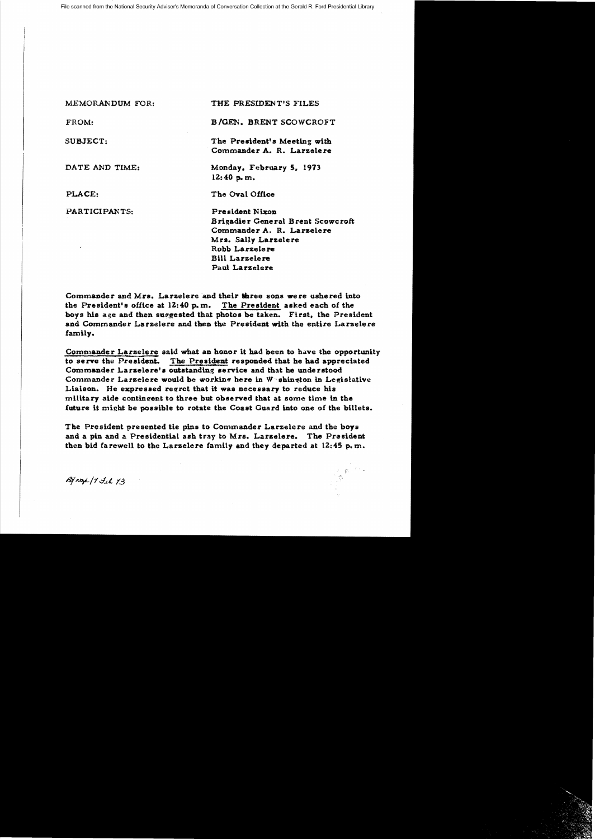| MEMORANDUM FOR: | THE PRESIDENT'S FILES                                                                                                                                       |
|-----------------|-------------------------------------------------------------------------------------------------------------------------------------------------------------|
| FROM:           | <b>B/GEN. BRENT SCOWCROFT</b>                                                                                                                               |
| SUBJECT:        | The President's Meeting with<br>Commander A. R. Larzelere                                                                                                   |
| DATE AND TIME:  | Monday, February 5, 1973<br>12:40 p.m.                                                                                                                      |
| PLACE:          | The Oval Office                                                                                                                                             |
| PARTICIPANTS:   | <b>President Nixon</b><br>Brigadier General Brent Scowcroft<br>Commander A. R. Larzelere<br>Mrs. Sally Larzelere<br>Robb Larzelere<br><b>Bill Larzelere</b> |

Commander and Mrs. Larzelere and their three sons were ushered into the President's office at  $12:40$  p.m. The President asked each of the boys his age and then suggested that photos be taken. First, the President and Commander Larzelere and then tbe President with the entire Larzelere famlly.

Paul Larzelere

Commander Larzelere said what an honor it had been to have the opportunity to serve the President. The President responded that he had appreciated Commander Larzelere's outstanding service and that he understood Commander Larzelere would be working here in  $W$  shington in Legislative Liaison. He expressed regret that it was necessary to reduce his military aide contingent to three but observed that at some time in the future it might be possible to rotate the Coast Guard into one of the billets.

The President presented tie pins to Commander Larzelere and the boys and a pin and a Presidential ash tray to Mrs. Larzelere. The President then bid farewell to the Larzelere family and they departed at  $12:45$  p.m.

By not / Til 13